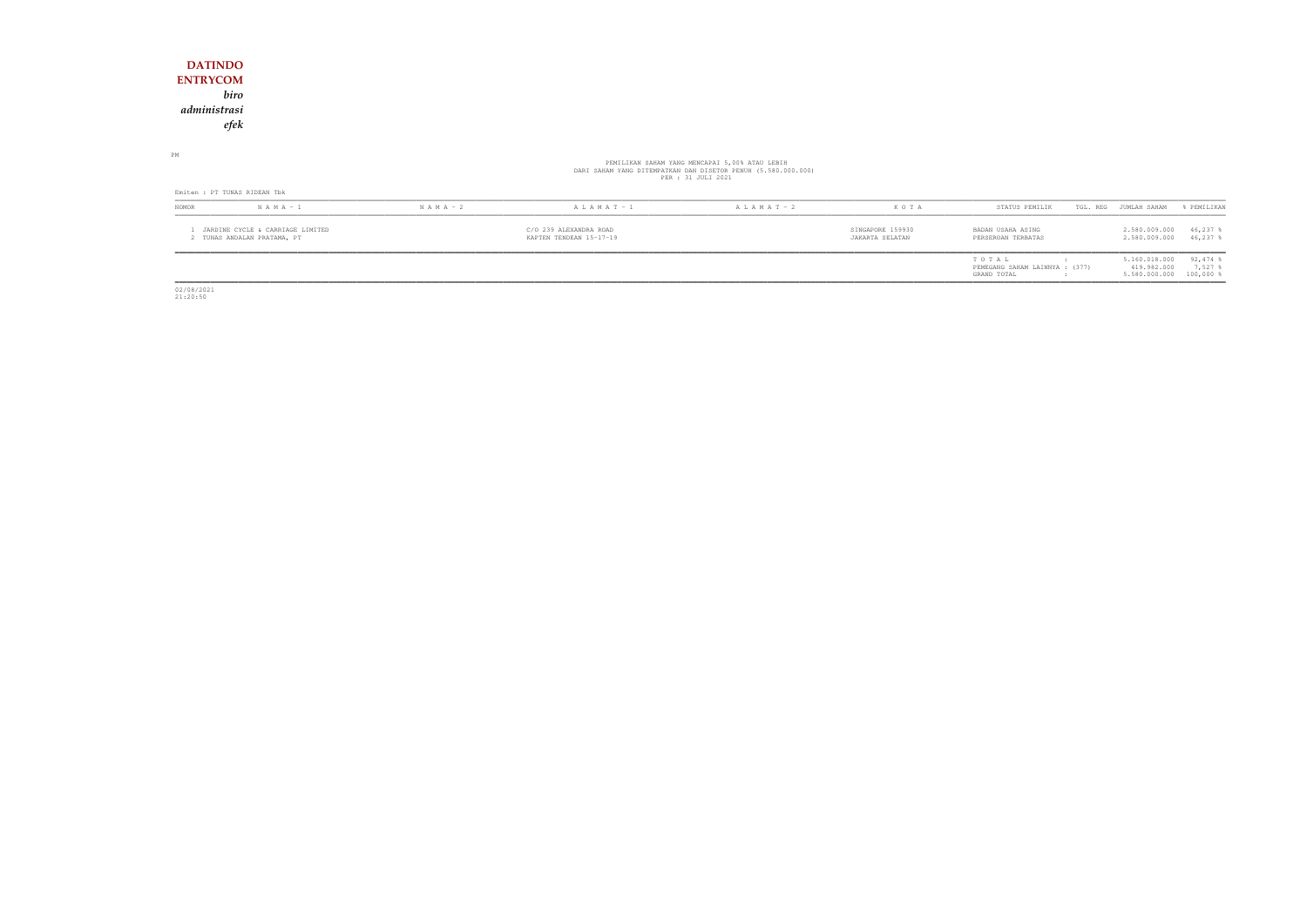### **DATINDO ENTRYCOM** *biro administrasiefek*

PM

# PEMILIKAN SAHAM YANG MENCAPAI 5,00% ATAU LEBIH<br>DARI SAHAM YANG DITEMPATKAN DAN DISETOR PENUH (5.580.000.000)<br>PER : 31 JULI 2021

| Emiten : PT TUNAS RIDEAN Tbk |                                                               |               |                                                   |                   |         |                                                        |                                                         |                     |  |
|------------------------------|---------------------------------------------------------------|---------------|---------------------------------------------------|-------------------|---------|--------------------------------------------------------|---------------------------------------------------------|---------------------|--|
| <b>NOMOR</b>                 | $N A M A - 1$                                                 | $N A M A - 2$ | $A L A M A T - 1$                                 | $A L A M A T - 2$ | K O T A | STATUS PEMILIK                                         | TGL. REG<br>JUMLAH SAHAM                                | FEMILIKAN           |  |
|                              | JARDINE CYCLE & CARRIAGE LIMITED<br>TUNAS ANDALAN PRATAMA, PT |               | C/O 239 ALEXANDRA ROAD<br>KAPTEN TENDEAN 15-17-19 |                   |         | BADAN USAHA ASING<br>PERSEROAN TERBATAS                | 2.580.009.000<br>2.580.009.000                          | 46,237<br>46,237    |  |
|                              |                                                               |               |                                                   |                   |         | TOTAL<br>PEMEGANG SAHAM LAINNYA : (377)<br>GRAND TOTAL | 5.160.018.000<br>419.982.000<br>5.580.000.000 100,000 % | $92,474$ %<br>7,527 |  |

02/08/2021 21:20:50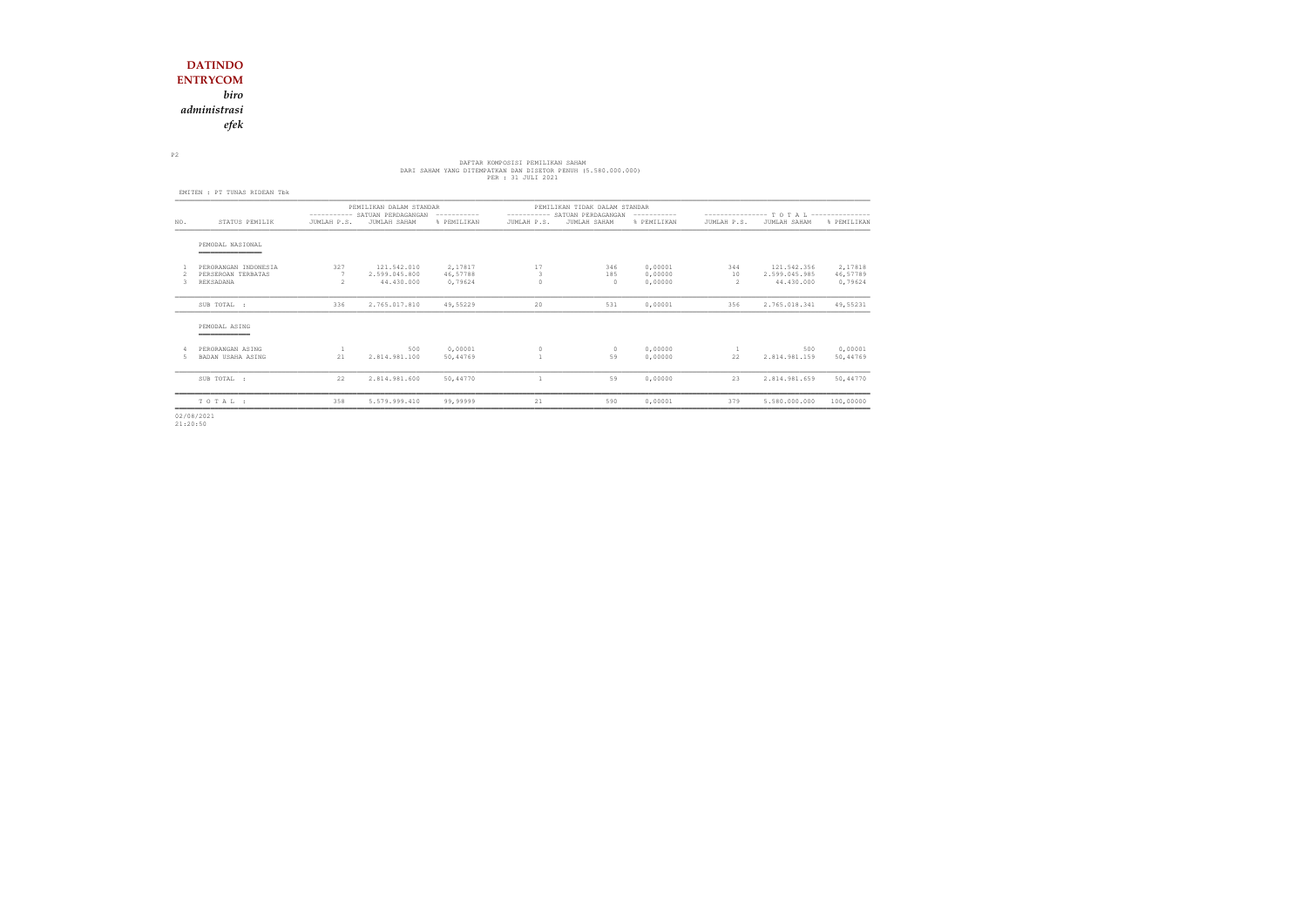*biro*

*administrasi*

*efek*

# DARI SAHAM YANG DITEMPATKAN DAN DISETOR PENUH (5.580.000.000)<br>PER : 31 JULI 2021<br>PER : 31 JULI 2021

P2

|                                         | PEMILIKAN DALAM STANDAR                                                 |               |                                |                                                                      |                   |             | ---------------- T O T A L ---------------                                                           |               |                                |  |
|-----------------------------------------|-------------------------------------------------------------------------|---------------|--------------------------------|----------------------------------------------------------------------|-------------------|-------------|------------------------------------------------------------------------------------------------------|---------------|--------------------------------|--|
| STATUS PEMILIK                          | JUMLAH P.S.                                                             | JUMLAH SAHAM  | % PEMILIKAN                    | JUMLAH P.S.                                                          | JUMLAH SAHAM      | % PEMILIKAN | JUMLAH P.S.                                                                                          | JUMLAH SAHAM  | % PEMILIKAN                    |  |
| PEMODAL NASIONAL<br>___________________ |                                                                         |               |                                |                                                                      |                   |             |                                                                                                      |               |                                |  |
| PERORANGAN INDONESIA                    | 327                                                                     | 121,542.010   | 2,17817                        | 17                                                                   | 346               | 0,00001     | 344                                                                                                  | 121,542,356   | 2,17818                        |  |
| REKSADANA                               | $\mathcal{P}$                                                           | 44.430.000    | 0,79624                        | $\Omega$                                                             | $\Omega$          | 0.00000     | 2                                                                                                    | 44.430.000    | 46,57789<br>0,79624            |  |
| SUB TOTAL :                             | 336                                                                     | 2.765.017.810 | 49,55229                       | 20                                                                   | 531               | 0,00001     | 356                                                                                                  | 2.765.018.341 | 49,55231                       |  |
| PEMODAL ASING                           |                                                                         |               |                                |                                                                      |                   |             |                                                                                                      |               |                                |  |
| PERORANGAN ASING                        | $\mathbf{1}$                                                            | 500           | 0,00001                        | $\circ$                                                              | $\circ$           | 0,00000     | 1                                                                                                    | 500           | 0,00001<br>50,44769            |  |
|                                         |                                                                         |               |                                |                                                                      |                   |             |                                                                                                      |               |                                |  |
| SUB TOTAL :                             | 22                                                                      | 2.814.981.600 | 50,44770                       | $\mathbf{1}$                                                         | 59                | 0,00000     | 23                                                                                                   | 2.814.981.659 | 50,44770                       |  |
| TOTAL:                                  | 358                                                                     | 5.579.999.410 | 99,99999                       | 21                                                                   | 590               | 0.00001     | 379                                                                                                  | 5.580.000.000 | 100,00000                      |  |
|                                         | EMITEN : PT TUNAS RIDEAN Tbk<br>PERSEROAN TERBATAS<br>BADAN USAHA ASING | 7<br>2.1      | 2.599.045.800<br>2.814.981.100 | ---------- SATUAN PERDAGANGAN<br>-----------<br>46,57788<br>50,44769 | 3<br>$\mathbf{1}$ | 185<br>59   | PEMILIKAN TIDAK DALAM STANDAR<br>---------- SATUAN PERDAGANGAN<br>------------<br>0,00000<br>0.00000 | 10<br>22      | 2.599.045.985<br>2.814.981.159 |  |

02/08/2021 21:20:50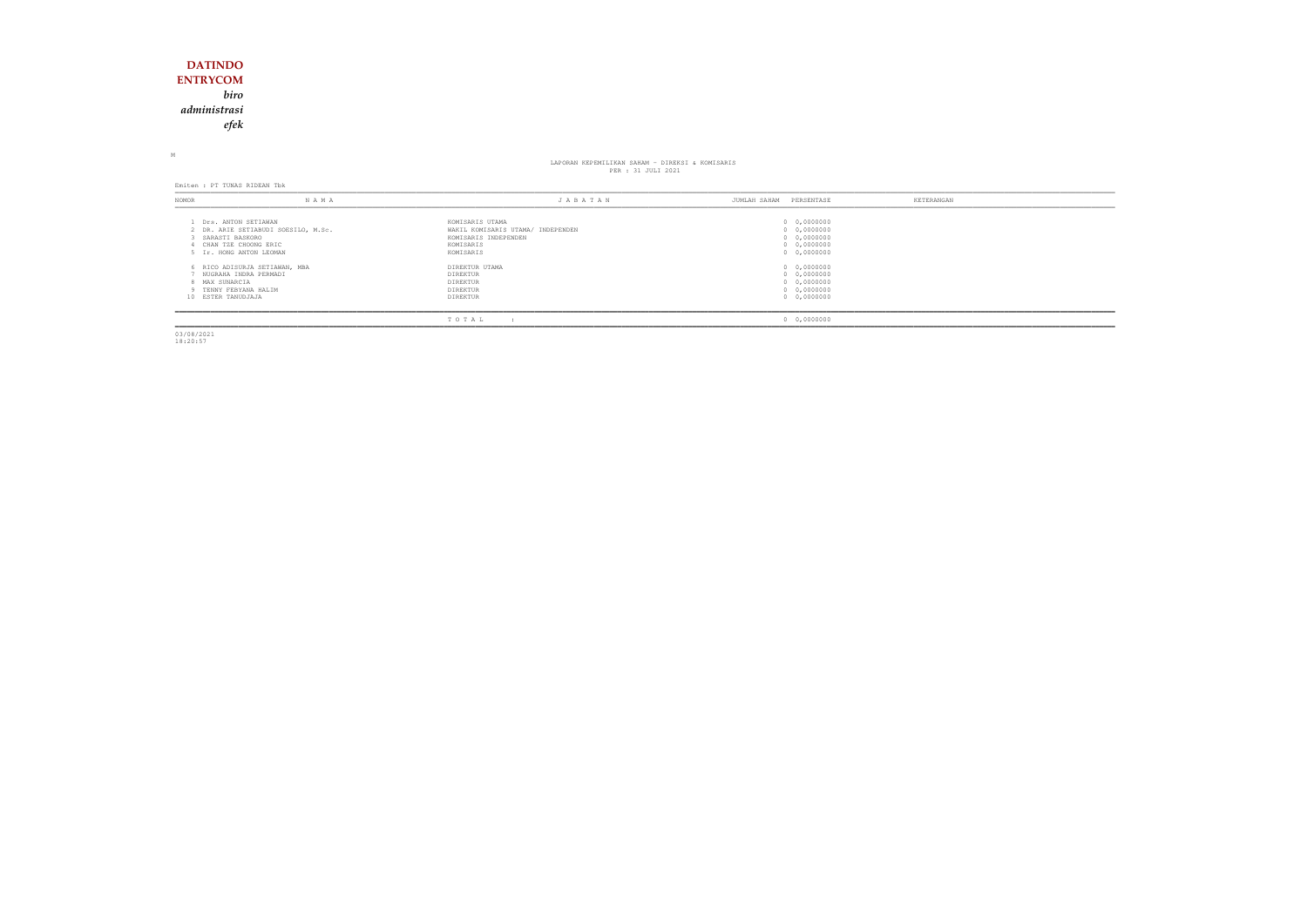## **DATINDO ENTRYCOM** *biro administrasiefek*

M

# LAPORAN KEPEMILIKAN SAHAM - DIREKSI & KOMISARIS<br>PER : 31 JULI 2021

Emiten : PT TUNAS RIDEAN Tbk

| NOMOR                                | N A M A                                                                                                       | JABATAN                                                                                                | PERSENTASE<br>JUMLAH SAHAM                                              | KETERANGAN |
|--------------------------------------|---------------------------------------------------------------------------------------------------------------|--------------------------------------------------------------------------------------------------------|-------------------------------------------------------------------------|------------|
| SARASTI BASKORO                      | Drs. ANTON SETIAWAN<br>2 DR. ARIE SETIABUDI SOESILO, M.Sc.<br>CHAN TZE CHOONG ERIC<br>5 Ir. HONG ANTON LEOMAN | KOMISARIS UTAMA<br>WAKIL KOMISARIS UTAMA/ INDEPENDEN<br>KOMISARIS INDEPENDEN<br>KOMISARIS<br>KOMISARIS | 0 0,0000000<br>0 0,0000000<br>0 0,0000000<br>0 0,0000000<br>0 0,0000000 |            |
| 8 MAX SUNARCIA<br>10 ESTER TANUDJAJA | 6 RICO ADISURJA SETIAWAN, MBA<br>NUGRAHA INDRA PERMADI<br>9 TENNY FEBYANA HALIM                               | DIREKTUR UTAMA<br>DIREKTUR<br>DIREKTUR<br>DIREKTUR<br>DIREKTUR                                         | 0 0,0000000<br>0 0,0000000<br>0 0,0000000<br>0 0,0000000<br>0 0,0000000 |            |
|                                      |                                                                                                               | TOTAL                                                                                                  | 0 0,0000000                                                             |            |

03/08/2021 18:20:57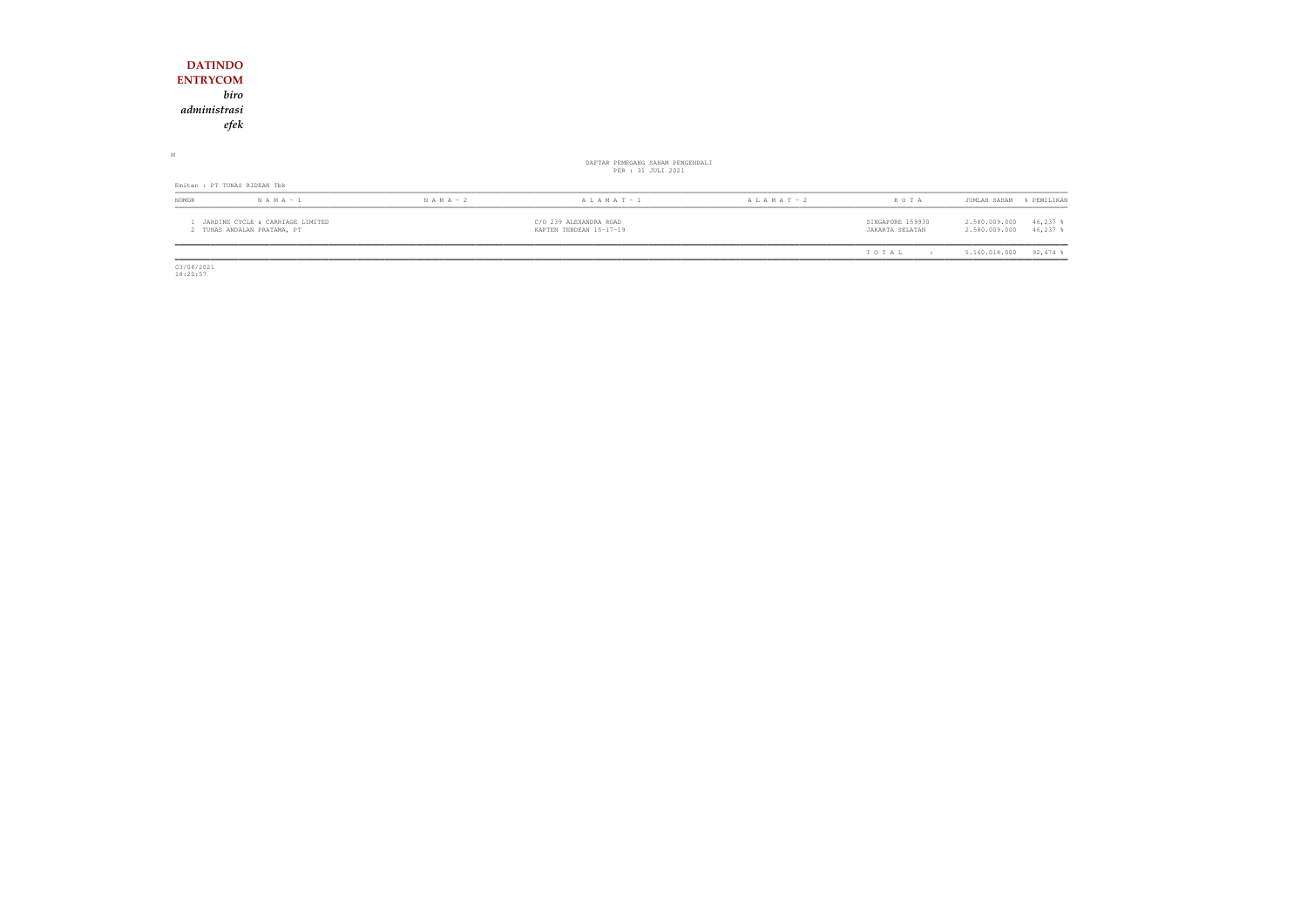| <b>DATINDO</b>                                                  |               |                                                        |                 |                                     |                                                           |
|-----------------------------------------------------------------|---------------|--------------------------------------------------------|-----------------|-------------------------------------|-----------------------------------------------------------|
| <b>ENTRYCOM</b>                                                 |               |                                                        |                 |                                     |                                                           |
| biro                                                            |               |                                                        |                 |                                     |                                                           |
| administrasi                                                    |               |                                                        |                 |                                     |                                                           |
| efek                                                            |               |                                                        |                 |                                     |                                                           |
| $\mathbb M$                                                     |               |                                                        |                 |                                     |                                                           |
|                                                                 |               | DAFTAR PEMEGANG SAHAM PENGENDALI<br>PER : 31 JULI 2021 |                 |                                     |                                                           |
| Emiten : PT TUNAS RIDEAN Tbk                                    |               |                                                        |                 |                                     |                                                           |
| $N A M A - 1$<br>NOMOR                                          | $N$ A M A - 2 | $A L A M A T - 1$                                      | A L A M A T - 2 | KOTA                                | JUMLAH SAHAM<br>% PEMILIKAN                               |
| JARDINE CYCLE & CARRIAGE LIMITED<br>2 TUNAS ANDALAN PRATAMA, PT |               | C/O 239 ALEXANDRA ROAD<br>KAPTEN TENDEAN 15-17-19      |                 | SINGAPORE 159930<br>JAKARTA SELATAN | 46,237 %<br>2.580.009.000<br>2.580.009.000<br>$46,237$ \$ |
|                                                                 |               |                                                        |                 | TOTAL<br>$\sim$ 1.1                 | $92,474$ %<br>5.160.018.000                               |

 $\begin{array}{c} \hline \hline 03/08/2021 \\ 18:20:57 \end{array}$